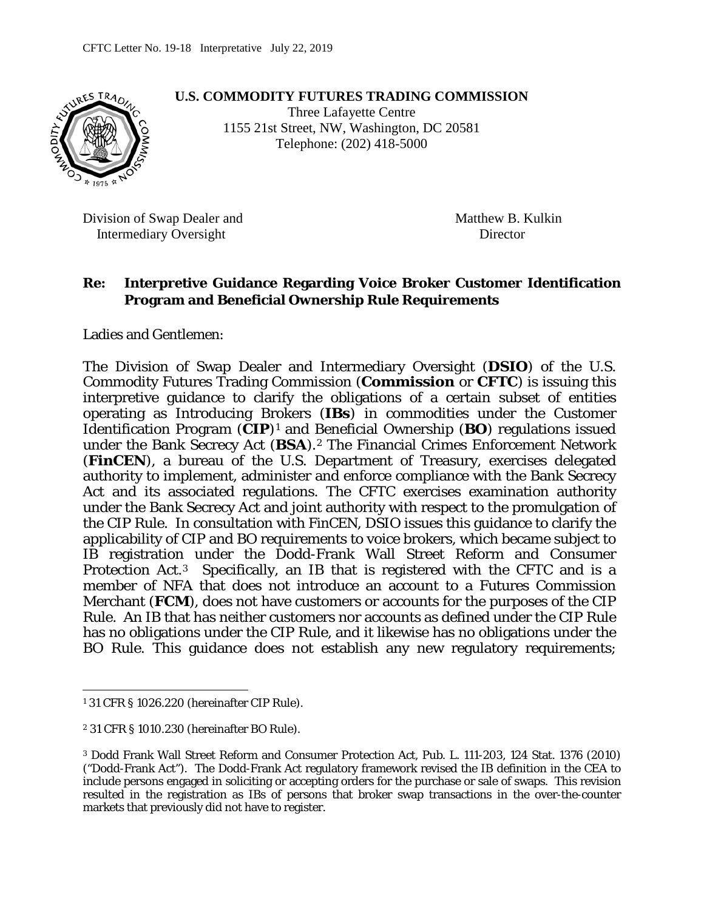

**U.S. COMMODITY FUTURES TRADING COMMISSION**

Three Lafayette Centre 1155 21st Street, NW, Washington, DC 20581 Telephone: (202) 418-5000

Division of Swap Dealer and Matthew B. Kulkin Intermediary Oversight Director

#### **Re: Interpretive Guidance Regarding Voice Broker Customer Identification Program and Beneficial Ownership Rule Requirements**

Ladies and Gentlemen:

The Division of Swap Dealer and Intermediary Oversight (**DSIO**) of the U.S. Commodity Futures Trading Commission (**Commission** or **CFTC**) is issuing this interpretive guidance to clarify the obligations of a certain subset of entities operating as Introducing Brokers (**IBs**) in commodities under the Customer Identification Program (**CIP**)[1](#page-0-0) and Beneficial Ownership (**BO**) regulations issued under the Bank Secrecy Act (**BSA**).[2](#page-0-1) The Financial Crimes Enforcement Network (**FinCEN**), a bureau of the U.S. Department of Treasury, exercises delegated authority to implement, administer and enforce compliance with the Bank Secrecy Act and its associated regulations. The CFTC exercises examination authority under the Bank Secrecy Act and joint authority with respect to the promulgation of the CIP Rule. In consultation with FinCEN, DSIO issues this guidance to clarify the applicability of CIP and BO requirements to voice brokers, which became subject to IB registration under the Dodd-Frank Wall Street Reform and Consumer Protection Act.[3](#page-0-2) Specifically, an IB that is registered with the CFTC and is a member of NFA that does not introduce an account to a Futures Commission Merchant (**FCM**), does not have customers or accounts for the purposes of the CIP Rule. An IB that has neither customers nor accounts as defined under the CIP Rule has no obligations under the CIP Rule, and it likewise has no obligations under the BO Rule. This guidance does not establish any new regulatory requirements;

<span id="page-0-0"></span> $\overline{a}$ <sup>1</sup> 31 CFR § 1026.220 (hereinafter CIP Rule).

<span id="page-0-1"></span><sup>2</sup> 31 CFR § 1010.230 (hereinafter BO Rule).

<span id="page-0-2"></span><sup>3</sup> Dodd Frank Wall Street Reform and Consumer Protection Act, Pub. L. 111-203, 124 Stat. 1376 (2010) ("Dodd-Frank Act"). The Dodd-Frank Act regulatory framework revised the IB definition in the CEA to include persons engaged in soliciting or accepting orders for the purchase or sale of swaps. This revision resulted in the registration as IBs of persons that broker swap transactions in the over-the-counter markets that previously did not have to register.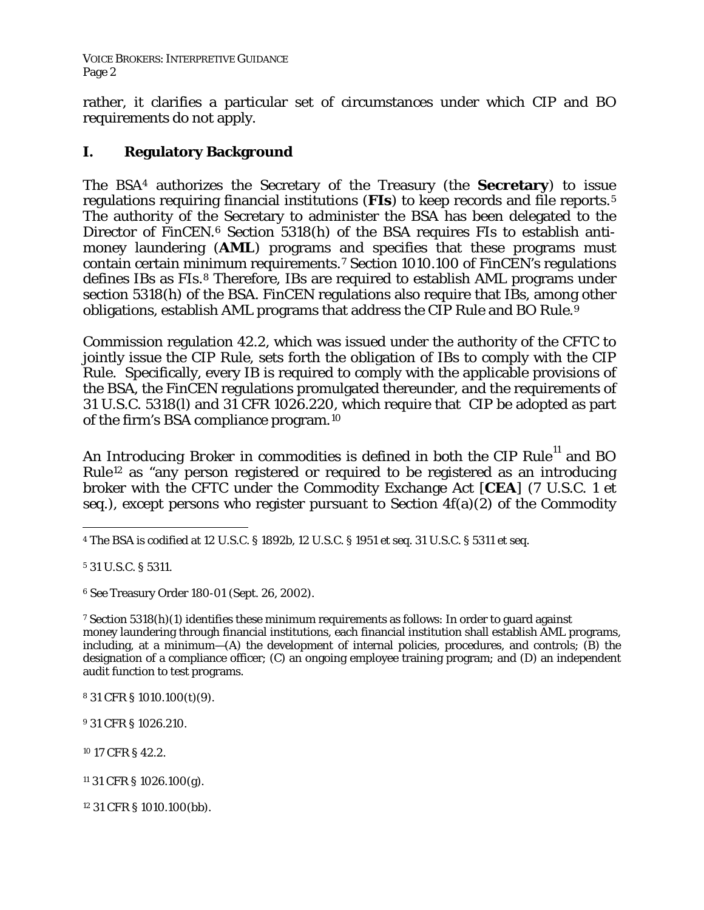rather, it clarifies a particular set of circumstances under which CIP and BO requirements do not apply.

# **I. Regulatory Background**

The BSA[4](#page-1-0) authorizes the Secretary of the Treasury (the **Secretary**) to issue regulations requiring financial institutions (**FIs**) to keep records and file reports.[5](#page-1-1) The authority of the Secretary to administer the BSA has been delegated to the Director of FinCEN.<sup>[6](#page-1-2)</sup> Section 5318(h) of the BSA requires FIs to establish antimoney laundering (**AML**) programs and specifies that these programs must contain certain minimum requirements.[7](#page-1-3) Section 1010.100 of FinCEN's regulations defines IBs as FIs.<sup>[8](#page-1-4)</sup> Therefore, IBs are required to establish AML programs under section 5318(h) of the BSA. FinCEN regulations also require that IBs, among other obligations, establish AML programs that address the CIP Rule and BO Rule.[9](#page-1-5) 

Commission regulation 42.2, which was issued under the authority of the CFTC to jointly issue the CIP Rule, sets forth the obligation of IBs to comply with the CIP Rule. Specifically, every IB is required to comply with the applicable provisions of the BSA, the FinCEN regulations promulgated thereunder, and the requirements of 31 U.S.C. 5318(l) and 31 CFR 1026.220, which require that CIP be adopted as part of the firm's BSA compliance program.[10](#page-1-6)

An *Introducing Broker* in commodities is defined in both the CIP Rule<sup>[11](#page-1-7)</sup> and BO Rule[12](#page-1-8) as "any person registered or required to be registered as an introducing broker with the CFTC under the Commodity Exchange Act [**CEA**] (7 U.S.C. 1 *et seq.),* except persons who register pursuant to Section 4f(a)(2) of the Commodity

<span id="page-1-1"></span><sup>5</sup> 31 U.S.C. § 5311.

<span id="page-1-2"></span><sup>6</sup> *See* Treasury Order 180-01 (Sept. 26, 2002).

<span id="page-1-3"></span><sup>7</sup> Section 5318(h)(1) identifies these minimum requirements as follows: In order to guard against money laundering through financial institutions, each financial institution shall establish AML programs, including, at a minimum—(A) the development of internal policies, procedures, and controls; (B) the designation of a compliance officer; (C) an ongoing employee training program; and (D) an independent audit function to test programs.

<span id="page-1-4"></span><sup>8</sup> 31 CFR § 1010.100(t)(9).

<span id="page-1-5"></span><sup>9</sup> 31 CFR § 1026.210.

<span id="page-1-6"></span><sup>10</sup> 17 CFR § 42.2.

<span id="page-1-0"></span> $\overline{a}$ <sup>4</sup> The BSA is codified at 12 U.S.C. § 1892b, 12 U.S.C. § 1951 *et seq.* 31 U.S.C. § 5311 *et seq*.

<span id="page-1-7"></span> $11$  31 CFR § 1026.100(g).

<span id="page-1-8"></span><sup>12</sup> 31 CFR § 1010.100(bb).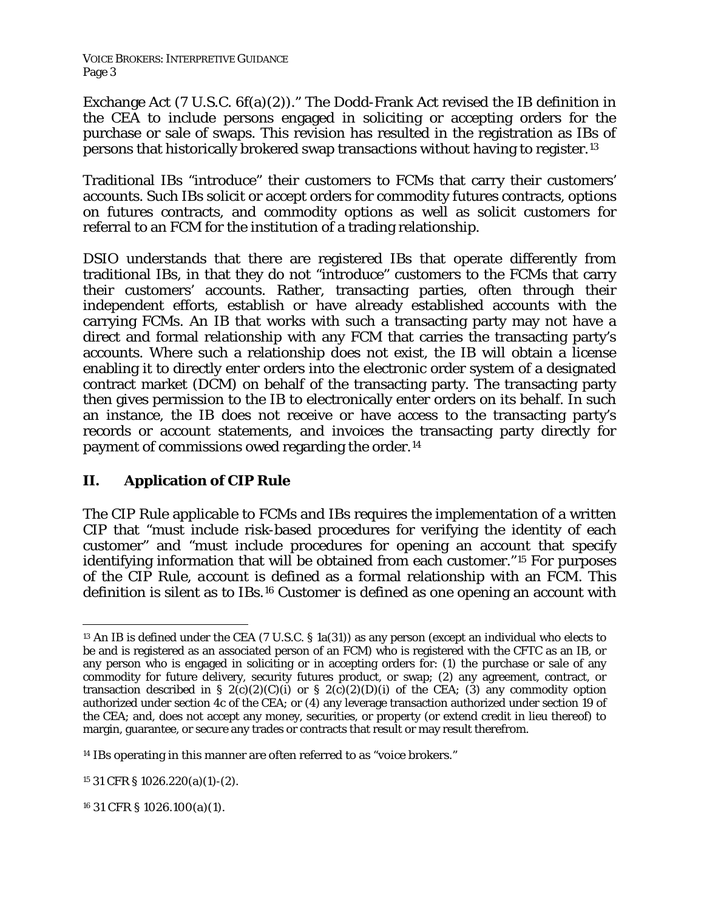Exchange Act (7 U.S.C. 6f(a)(2))." The Dodd-Frank Act revised the IB definition in the CEA to include persons engaged in soliciting or accepting orders for the purchase or sale of swaps. This revision has resulted in the registration as IBs of persons that historically brokered swap transactions without having to register.[13](#page-2-0)

Traditional IBs "introduce" their customers to FCMs that carry their customers' accounts. Such IBs solicit or accept orders for commodity futures contracts, options on futures contracts, and commodity options as well as solicit customers for referral to an FCM for the institution of a trading relationship.

DSIO understands that there are registered IBs that operate differently from traditional IBs, in that they do not "introduce" customers to the FCMs that carry their customers' accounts. Rather, transacting parties, often through their independent efforts, establish or have already established accounts with the carrying FCMs. An IB that works with such a transacting party may not have a direct and formal relationship with any FCM that carries the transacting party's accounts. Where such a relationship does not exist, the IB will obtain a license enabling it to directly enter orders into the electronic order system of a designated contract market (DCM) on behalf of the transacting party. The transacting party then gives permission to the IB to electronically enter orders on its behalf. In such an instance, the IB does not receive or have access to the transacting party's records or account statements, and invoices the transacting party directly for payment of commissions owed regarding the order.<sup>[14](#page-2-1)</sup>

## **II. Application of CIP Rule**

The CIP Rule applicable to FCMs and IBs requires the implementation of a written CIP that "must include risk-based procedures for verifying the identity of each customer" and "must include procedures for opening an account that specify identifying information that will be obtained from each customer."[15](#page-2-2) For purposes of the CIP Rule, *account* is defined as a formal relationship with an FCM. This definition is silent as to IBs.[16](#page-2-3) *Customer* is defined as one opening an account with

<span id="page-2-2"></span><sup>15</sup> 31 CFR § 1026.220(a)(1)-(2).

<span id="page-2-3"></span><sup>16</sup> 31 CFR § 1026.100(a)(1).

<span id="page-2-0"></span> $\overline{a}$ <sup>13</sup> An IB is defined under the CEA (7 U.S.C. § 1a(31)) as any person (except an individual who elects to be and is registered as an associated person of an FCM) who is registered with the CFTC as an IB, or any person who is engaged in soliciting or in accepting orders for: (1) the purchase or sale of any commodity for future delivery, security futures product, or swap; (2) any agreement, contract, or transaction described in §  $2(c)(2)(c)(i)$  or §  $2(c)(2)(D)(i)$  of the CEA; (3) any commodity option authorized under section 4c of the CEA; or (4) any leverage transaction authorized under section 19 of the CEA; and, does not accept any money, securities, or property (or extend credit in lieu thereof) to margin, guarantee, or secure any trades or contracts that result or may result therefrom.

<span id="page-2-1"></span><sup>&</sup>lt;sup>14</sup> IBs operating in this manner are often referred to as "voice brokers."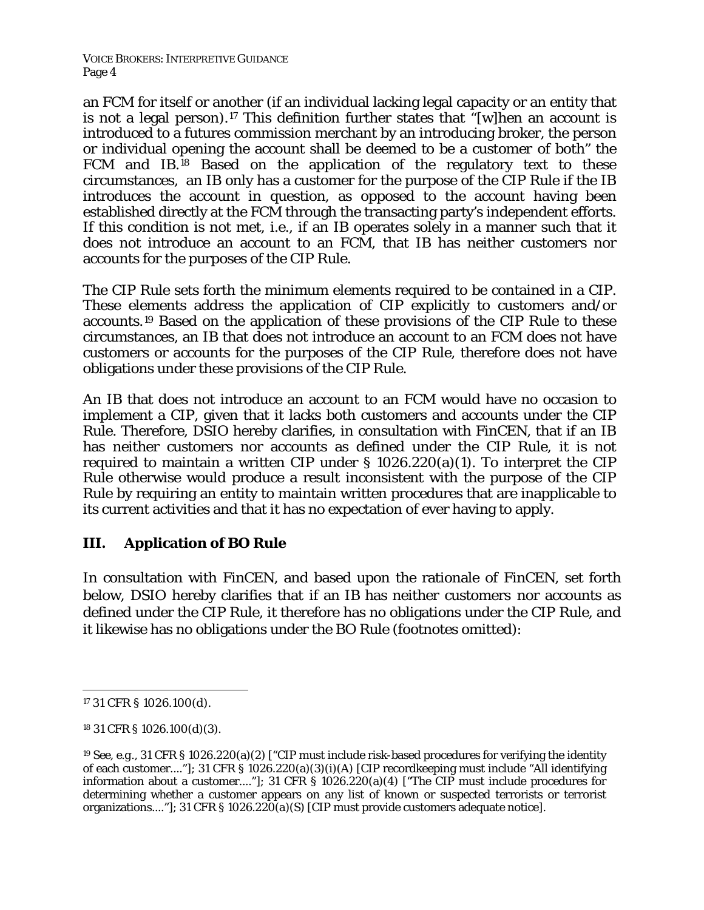VOICE BROKERS: INTERPRETIVE GUIDANCE Page 4

an FCM for itself or another (if an individual lacking legal capacity or an entity that is not a legal person).[17](#page-3-0) This definition further states that "[w]hen an account is introduced to a futures commission merchant by an introducing broker, the person or individual opening the account shall be deemed to be a *customer* of both" the FCM and IB.[18](#page-3-1) Based on the application of the regulatory text to these circumstances, an IB only has a customer for the purpose of the CIP Rule if the IB introduces the account in question, as opposed to the account having been established directly at the FCM through the transacting party's independent efforts. If this condition is not met, *i.e.,* if an IB operates solely in a manner such that it does not introduce an account to an FCM, that IB has neither customers nor accounts for the purposes of the CIP Rule.

The CIP Rule sets forth the minimum elements required to be contained in a CIP. These elements address the application of CIP explicitly to customers and/or accounts.[19](#page-3-2) Based on the application of these provisions of the CIP Rule to these circumstances, an IB that does not introduce an account to an FCM does not have customers or accounts for the purposes of the CIP Rule, therefore does not have obligations under these provisions of the CIP Rule.

An IB that does not introduce an account to an FCM would have no occasion to implement a CIP, given that it lacks both customers and accounts under the CIP Rule. Therefore, DSIO hereby clarifies, in consultation with FinCEN, that if an IB has neither customers nor accounts as defined under the CIP Rule, it is not required to maintain a written CIP under § 1026.220(a)(1). To interpret the CIP Rule otherwise would produce a result inconsistent with the purpose of the CIP Rule by requiring an entity to maintain written procedures that are inapplicable to its current activities and that it has no expectation of ever having to apply.

### **III. Application of BO Rule**

In consultation with FinCEN, and based upon the rationale of FinCEN, set forth below, DSIO hereby clarifies that if an IB has neither customers nor accounts as defined under the CIP Rule, it therefore has no obligations under the CIP Rule, and it likewise has no obligations under the BO Rule (footnotes omitted):

<span id="page-3-0"></span> $\overline{a}$ <sup>17</sup> 31 CFR § 1026.100(d).

<span id="page-3-1"></span><sup>18</sup> 31 CFR § 1026.100(d)(3).

<span id="page-3-2"></span><sup>19</sup> *See, e.g.,* 31 CFR § 1026.220(a)(2) ["CIP must include risk-based procedures for verifying the identity of each customer...."]; 31 CFR § 1026.220(a)(3)(i)(A) [CIP recordkeeping must include "All identifying information about a customer...."]; 31 CFR § 1026.220(a)(4) ["The CIP must include procedures for determining whether a customer appears on any list of known or suspected terrorists or terrorist organizations...."]; 31 CFR § 1026.220(a)(S) [CIP must provide customers adequate notice].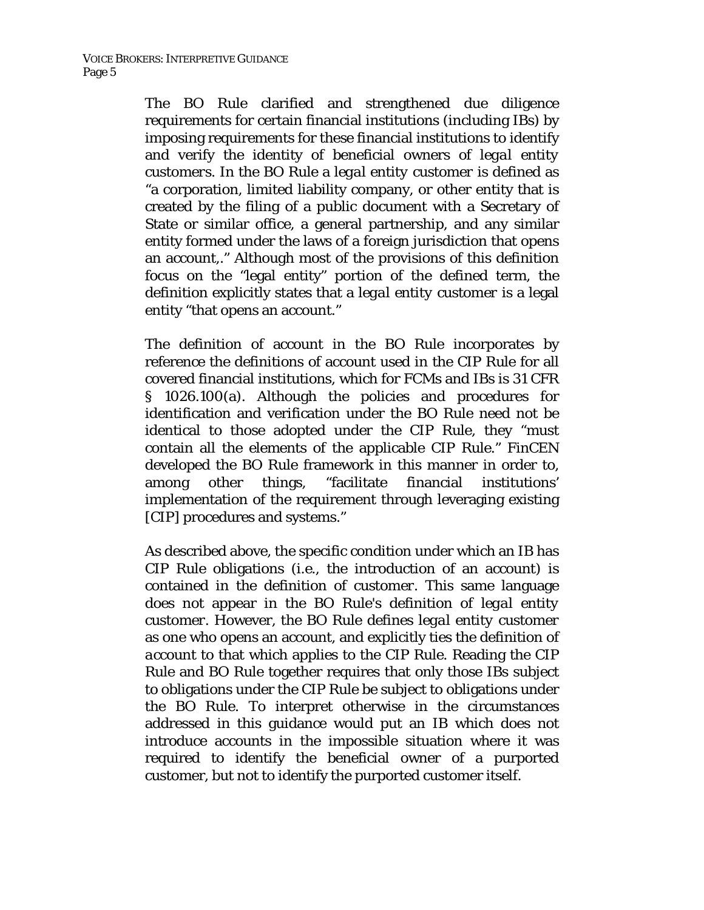The BO Rule clarified and strengthened due diligence requirements for certain financial institutions (including IBs) by imposing requirements for these financial institutions to identify and verify the identity of beneficial owners of *legal entity customers*. In the BO Rule a *legal entity customer* is defined as "a corporation, limited liability company, or other entity that is created by the filing of a public document with a Secretary of State or similar office, a general partnership, and any similar entity formed under the laws of a foreign jurisdiction that opens an account,." Although most of the provisions of this definition focus on the "legal entity" portion of the defined term, the definition explicitly states that a *legal entity customer* is a legal entity "that opens an account."

The definition of account in the BO Rule incorporates by reference the definitions of account used in the CIP Rule for all covered financial institutions, which for FCMs and IBs is 31 CFR § 1026.100(a). Although the policies and procedures for identification and verification under the BO Rule need not be identical to those adopted under the CIP Rule, they "must contain all the elements of the applicable CIP Rule." FinCEN developed the BO Rule framework in this manner in order to, among other things, "facilitate financial institutions' implementation of the requirement through leveraging existing [CIP] procedures and systems."

As described above, the specific condition under which an IB has CIP Rule obligations (*i.e.*, the introduction of an account) is contained in the definition of *customer*. This same language does not appear in the BO Rule's definition of *legal entity customer*. However, the BO Rule defines *legal entity customer* as one who opens an account, and explicitly ties the definition of *account* to that which applies to the CIP Rule. Reading the CIP Rule and BO Rule together requires that only those IBs subject to obligations under the CIP Rule be subject to obligations under the BO Rule. To interpret otherwise in the circumstances addressed in this guidance would put an IB which does not introduce accounts in the impossible situation where it was required to identify the beneficial owner of a purported customer, but not to identify the purported customer itself.